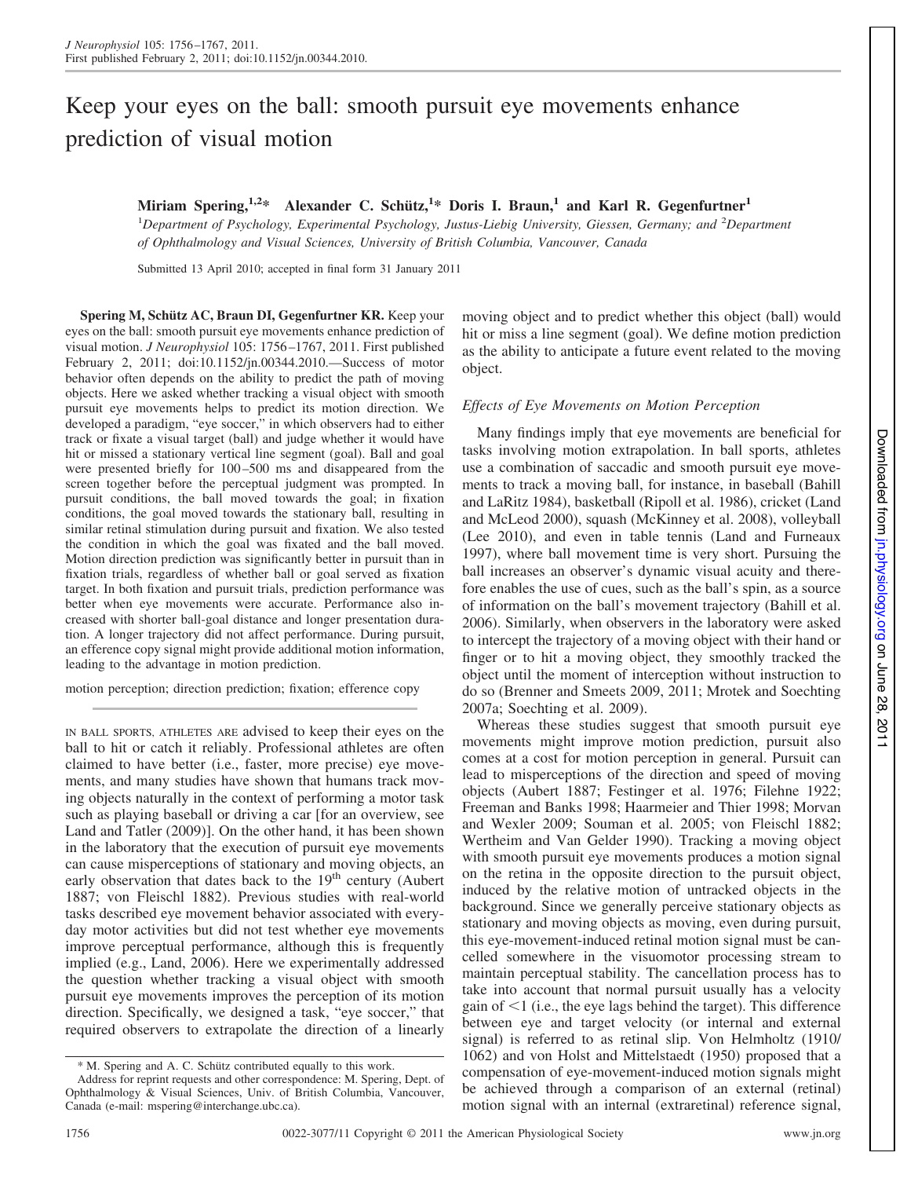# Keep your eyes on the ball: smooth pursuit eye movements enhance prediction of visual motion

**Miriam Spering,1,2\* Alexander C. Schütz,1 \* Doris I. Braun,<sup>1</sup> and Karl R. Gegenfurtner<sup>1</sup>**

<sup>1</sup>Department of Psychology, Experimental Psychology, Justus-Liebig University, Giessen, Germany; and <sup>2</sup>Department *of Ophthalmology and Visual Sciences, University of British Columbia, Vancouver, Canada*

Submitted 13 April 2010; accepted in final form 31 January 2011

**Spering M, Schütz AC, Braun DI, Gegenfurtner KR.** Keep your eyes on the ball: smooth pursuit eye movements enhance prediction of visual motion. *J Neurophysiol* 105: 1756 –1767, 2011. First published February 2, 2011; doi:10.1152/jn.00344.2010.—Success of motor behavior often depends on the ability to predict the path of moving objects. Here we asked whether tracking a visual object with smooth pursuit eye movements helps to predict its motion direction. We developed a paradigm, "eye soccer," in which observers had to either track or fixate a visual target (ball) and judge whether it would have hit or missed a stationary vertical line segment (goal). Ball and goal were presented briefly for  $100 - 500$  ms and disappeared from the screen together before the perceptual judgment was prompted. In pursuit conditions, the ball moved towards the goal; in fixation conditions, the goal moved towards the stationary ball, resulting in similar retinal stimulation during pursuit and fixation. We also tested the condition in which the goal was fixated and the ball moved. Motion direction prediction was significantly better in pursuit than in fixation trials, regardless of whether ball or goal served as fixation target. In both fixation and pursuit trials, prediction performance was better when eye movements were accurate. Performance also increased with shorter ball-goal distance and longer presentation duration. A longer trajectory did not affect performance. During pursuit, an efference copy signal might provide additional motion information, leading to the advantage in motion prediction.

motion perception; direction prediction; fixation; efference copy

IN BALL SPORTS, ATHLETES ARE advised to keep their eyes on the ball to hit or catch it reliably. Professional athletes are often claimed to have better (i.e., faster, more precise) eye movements, and many studies have shown that humans track moving objects naturally in the context of performing a motor task such as playing baseball or driving a car [for an overview, see Land and Tatler (2009)]. On the other hand, it has been shown in the laboratory that the execution of pursuit eye movements can cause misperceptions of stationary and moving objects, an early observation that dates back to the  $19<sup>th</sup>$  century (Aubert 1887; von Fleischl 1882). Previous studies with real-world tasks described eye movement behavior associated with everyday motor activities but did not test whether eye movements improve perceptual performance, although this is frequently implied (e.g., Land, 2006). Here we experimentally addressed the question whether tracking a visual object with smooth pursuit eye movements improves the perception of its motion direction. Specifically, we designed a task, "eye soccer," that required observers to extrapolate the direction of a linearly moving object and to predict whether this object (ball) would hit or miss a line segment (goal). We define motion prediction as the ability to anticipate a future event related to the moving object.

## *Effects of Eye Movements on Motion Perception*

Many findings imply that eye movements are beneficial for tasks involving motion extrapolation. In ball sports, athletes use a combination of saccadic and smooth pursuit eye movements to track a moving ball, for instance, in baseball (Bahill and LaRitz 1984), basketball (Ripoll et al. 1986), cricket (Land and McLeod 2000), squash (McKinney et al. 2008), volleyball (Lee 2010), and even in table tennis (Land and Furneaux 1997), where ball movement time is very short. Pursuing the ball increases an observer's dynamic visual acuity and therefore enables the use of cues, such as the ball's spin, as a source of information on the ball's movement trajectory (Bahill et al. 2006). Similarly, when observers in the laboratory were asked to intercept the trajectory of a moving object with their hand or finger or to hit a moving object, they smoothly tracked the object until the moment of interception without instruction to do so (Brenner and Smeets 2009, 2011; Mrotek and Soechting 2007a; Soechting et al. 2009).

Whereas these studies suggest that smooth pursuit eye movements might improve motion prediction, pursuit also comes at a cost for motion perception in general. Pursuit can lead to misperceptions of the direction and speed of moving objects (Aubert 1887; Festinger et al. 1976; Filehne 1922; Freeman and Banks 1998; Haarmeier and Thier 1998; Morvan and Wexler 2009; Souman et al. 2005; von Fleischl 1882; Wertheim and Van Gelder 1990). Tracking a moving object with smooth pursuit eye movements produces a motion signal on the retina in the opposite direction to the pursuit object, induced by the relative motion of untracked objects in the background. Since we generally perceive stationary objects as stationary and moving objects as moving, even during pursuit, this eye-movement-induced retinal motion signal must be cancelled somewhere in the visuomotor processing stream to maintain perceptual stability. The cancellation process has to take into account that normal pursuit usually has a velocity gain of  $\leq 1$  (i.e., the eye lags behind the target). This difference between eye and target velocity (or internal and external signal) is referred to as retinal slip. Von Helmholtz (1910/ 1062) and von Holst and Mittelstaedt (1950) proposed that a compensation of eye-movement-induced motion signals might be achieved through a comparison of an external (retinal) motion signal with an internal (extraretinal) reference signal,

<sup>\*</sup> M. Spering and A. C. Schütz contributed equally to this work.

Address for reprint requests and other correspondence: M. Spering, Dept. of Ophthalmology & Visual Sciences, Univ. of British Columbia, Vancouver, Canada (e-mail: mspering@interchange.ubc.ca).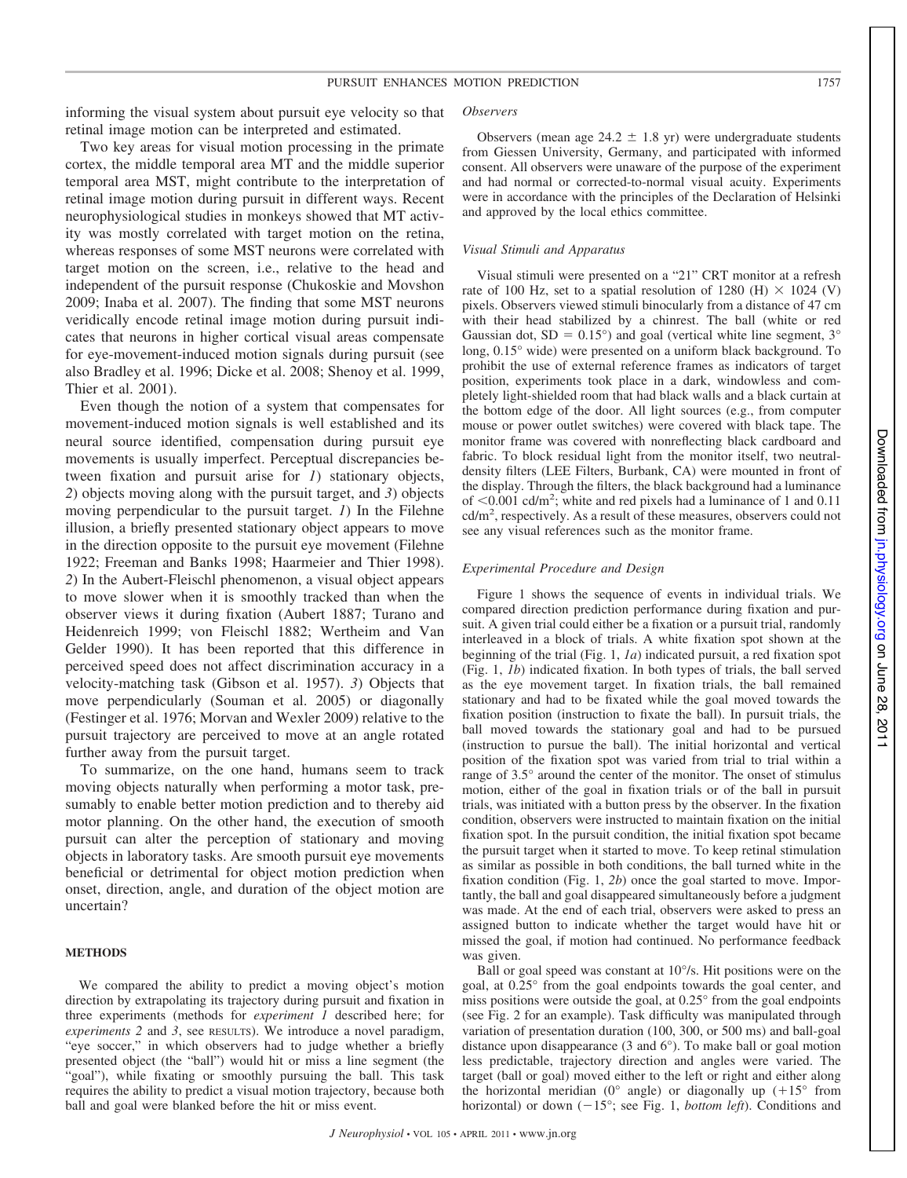informing the visual system about pursuit eye velocity so that retinal image motion can be interpreted and estimated.

Two key areas for visual motion processing in the primate cortex, the middle temporal area MT and the middle superior temporal area MST, might contribute to the interpretation of retinal image motion during pursuit in different ways. Recent neurophysiological studies in monkeys showed that MT activity was mostly correlated with target motion on the retina, whereas responses of some MST neurons were correlated with target motion on the screen, i.e., relative to the head and independent of the pursuit response (Chukoskie and Movshon 2009; Inaba et al. 2007). The finding that some MST neurons veridically encode retinal image motion during pursuit indicates that neurons in higher cortical visual areas compensate for eye-movement-induced motion signals during pursuit (see also Bradley et al. 1996; Dicke et al. 2008; Shenoy et al. 1999, Thier et al. 2001).

Even though the notion of a system that compensates for movement-induced motion signals is well established and its neural source identified, compensation during pursuit eye movements is usually imperfect. Perceptual discrepancies between fixation and pursuit arise for *1*) stationary objects, *2*) objects moving along with the pursuit target, and *3*) objects moving perpendicular to the pursuit target. *1*) In the Filehne illusion, a briefly presented stationary object appears to move in the direction opposite to the pursuit eye movement (Filehne 1922; Freeman and Banks 1998; Haarmeier and Thier 1998). *2*) In the Aubert-Fleischl phenomenon, a visual object appears to move slower when it is smoothly tracked than when the observer views it during fixation (Aubert 1887; Turano and Heidenreich 1999; von Fleischl 1882; Wertheim and Van Gelder 1990). It has been reported that this difference in perceived speed does not affect discrimination accuracy in a velocity-matching task (Gibson et al. 1957). *3*) Objects that move perpendicularly (Souman et al. 2005) or diagonally (Festinger et al. 1976; Morvan and Wexler 2009) relative to the pursuit trajectory are perceived to move at an angle rotated further away from the pursuit target.

To summarize, on the one hand, humans seem to track moving objects naturally when performing a motor task, presumably to enable better motion prediction and to thereby aid motor planning. On the other hand, the execution of smooth pursuit can alter the perception of stationary and moving objects in laboratory tasks. Are smooth pursuit eye movements beneficial or detrimental for object motion prediction when onset, direction, angle, and duration of the object motion are uncertain?

### **METHODS**

We compared the ability to predict a moving object's motion direction by extrapolating its trajectory during pursuit and fixation in three experiments (methods for *experiment 1* described here; for *experiments 2* and *3*, see RESULTS). We introduce a novel paradigm, "eye soccer," in which observers had to judge whether a briefly presented object (the "ball") would hit or miss a line segment (the "goal"), while fixating or smoothly pursuing the ball. This task requires the ability to predict a visual motion trajectory, because both ball and goal were blanked before the hit or miss event.

#### *Observers*

Observers (mean age  $24.2 \pm 1.8$  yr) were undergraduate students from Giessen University, Germany, and participated with informed consent. All observers were unaware of the purpose of the experiment and had normal or corrected-to-normal visual acuity. Experiments were in accordance with the principles of the Declaration of Helsinki and approved by the local ethics committee.

#### *Visual Stimuli and Apparatus*

Visual stimuli were presented on a "21" CRT monitor at a refresh rate of 100 Hz, set to a spatial resolution of 1280 (H)  $\times$  1024 (V) pixels. Observers viewed stimuli binocularly from a distance of 47 cm with their head stabilized by a chinrest. The ball (white or red Gaussian dot,  $SD = 0.15^{\circ}$  and goal (vertical white line segment,  $3^{\circ}$ long, 0.15° wide) were presented on a uniform black background. To prohibit the use of external reference frames as indicators of target position, experiments took place in a dark, windowless and completely light-shielded room that had black walls and a black curtain at the bottom edge of the door. All light sources (e.g., from computer mouse or power outlet switches) were covered with black tape. The monitor frame was covered with nonreflecting black cardboard and fabric. To block residual light from the monitor itself, two neutraldensity filters (LEE Filters, Burbank, CA) were mounted in front of the display. Through the filters, the black background had a luminance of  $\leq 0.001$  cd/m<sup>2</sup>; white and red pixels had a luminance of 1 and 0.11 cd/m2 , respectively. As a result of these measures, observers could not see any visual references such as the monitor frame.

#### *Experimental Procedure and Design*

Figure 1 shows the sequence of events in individual trials. We compared direction prediction performance during fixation and pursuit. A given trial could either be a fixation or a pursuit trial, randomly interleaved in a block of trials. A white fixation spot shown at the beginning of the trial (Fig. 1, *1a*) indicated pursuit, a red fixation spot (Fig. 1, *1b*) indicated fixation. In both types of trials, the ball served as the eye movement target. In fixation trials, the ball remained stationary and had to be fixated while the goal moved towards the fixation position (instruction to fixate the ball). In pursuit trials, the ball moved towards the stationary goal and had to be pursued (instruction to pursue the ball). The initial horizontal and vertical position of the fixation spot was varied from trial to trial within a range of 3.5° around the center of the monitor. The onset of stimulus motion, either of the goal in fixation trials or of the ball in pursuit trials, was initiated with a button press by the observer. In the fixation condition, observers were instructed to maintain fixation on the initial fixation spot. In the pursuit condition, the initial fixation spot became the pursuit target when it started to move. To keep retinal stimulation as similar as possible in both conditions, the ball turned white in the fixation condition (Fig. 1, *2b*) once the goal started to move. Importantly, the ball and goal disappeared simultaneously before a judgment was made. At the end of each trial, observers were asked to press an assigned button to indicate whether the target would have hit or missed the goal, if motion had continued. No performance feedback was given.

Ball or goal speed was constant at 10°/s. Hit positions were on the goal, at 0.25° from the goal endpoints towards the goal center, and miss positions were outside the goal, at 0.25° from the goal endpoints (see Fig. 2 for an example). Task difficulty was manipulated through variation of presentation duration (100, 300, or 500 ms) and ball-goal distance upon disappearance (3 and 6°). To make ball or goal motion less predictable, trajectory direction and angles were varied. The target (ball or goal) moved either to the left or right and either along the horizontal meridian ( $0^{\circ}$  angle) or diagonally up  $(+15^{\circ}$  from horizontal) or down  $(-15^{\circ})$ ; see Fig. 1, *bottom left*). Conditions and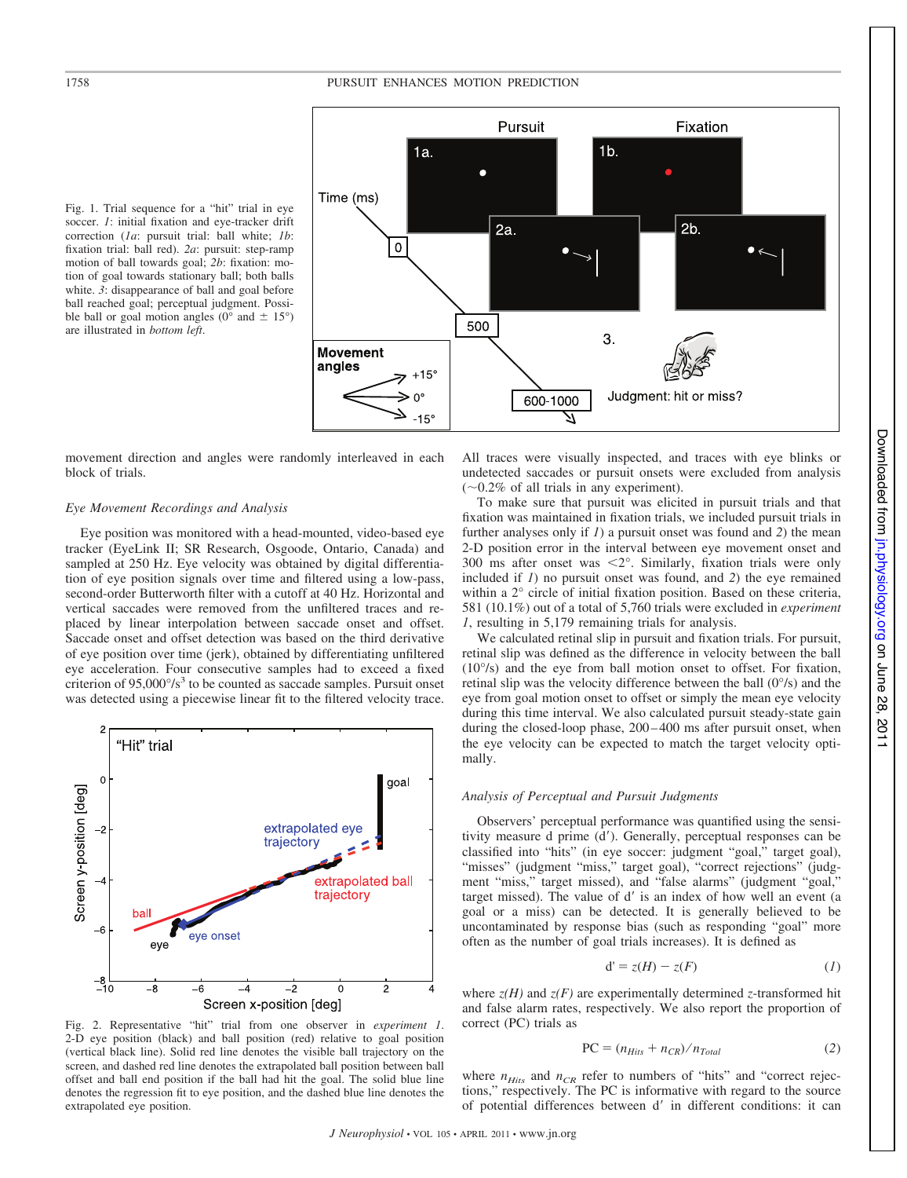

Fig. 1. Trial sequence for a "hit" trial in eye soccer. *1*: initial fixation and eye-tracker drift correction (*1a*: pursuit trial: ball white; *1b*: fixation trial: ball red). *2a*: pursuit: step-ramp motion of ball towards goal; *2b*: fixation: motion of goal towards stationary ball; both balls white. *3*: disappearance of ball and goal before ball reached goal; perceptual judgment. Possible ball or goal motion angles ( $0^{\circ}$  and  $\pm$  15°) are illustrated in *bottom left*.

movement direction and angles were randomly interleaved in each block of trials.

#### *Eye Movement Recordings and Analysis*

Eye position was monitored with a head-mounted, video-based eye tracker (EyeLink II; SR Research, Osgoode, Ontario, Canada) and sampled at 250 Hz. Eye velocity was obtained by digital differentiation of eye position signals over time and filtered using a low-pass, second-order Butterworth filter with a cutoff at 40 Hz. Horizontal and vertical saccades were removed from the unfiltered traces and replaced by linear interpolation between saccade onset and offset. Saccade onset and offset detection was based on the third derivative of eye position over time (jerk), obtained by differentiating unfiltered eye acceleration. Four consecutive samples had to exceed a fixed criterion of  $95,000^{\circ}/s^3$  to be counted as saccade samples. Pursuit onset was detected using a piecewise linear fit to the filtered velocity trace.



Fig. 2. Representative "hit" trial from one observer in *experiment 1*. 2-D eye position (black) and ball position (red) relative to goal position (vertical black line). Solid red line denotes the visible ball trajectory on the screen, and dashed red line denotes the extrapolated ball position between ball offset and ball end position if the ball had hit the goal. The solid blue line denotes the regression fit to eye position, and the dashed blue line denotes the extrapolated eye position.

All traces were visually inspected, and traces with eye blinks or undetected saccades or pursuit onsets were excluded from analysis  $(\sim 0.2\%$  of all trials in any experiment).

To make sure that pursuit was elicited in pursuit trials and that fixation was maintained in fixation trials, we included pursuit trials in further analyses only if *1*) a pursuit onset was found and *2*) the mean 2-D position error in the interval between eye movement onset and 300 ms after onset was  $\langle 2^{\circ}$ . Similarly, fixation trials were only included if *1*) no pursuit onset was found, and *2*) the eye remained within a 2° circle of initial fixation position. Based on these criteria, 581 (10.1%) out of a total of 5,760 trials were excluded in *experiment 1*, resulting in 5,179 remaining trials for analysis.

We calculated retinal slip in pursuit and fixation trials. For pursuit, retinal slip was defined as the difference in velocity between the ball (10°/s) and the eye from ball motion onset to offset. For fixation, retinal slip was the velocity difference between the ball (0°/s) and the eye from goal motion onset to offset or simply the mean eye velocity during this time interval. We also calculated pursuit steady-state gain during the closed-loop phase,  $200-400$  ms after pursuit onset, when the eye velocity can be expected to match the target velocity optimally.

# *Analysis of Perceptual and Pursuit Judgments*

Observers' perceptual performance was quantified using the sensitivity measure d prime (d'). Generally, perceptual responses can be classified into "hits" (in eye soccer: judgment "goal," target goal), "misses" (judgment "miss," target goal), "correct rejections" (judgment "miss," target missed), and "false alarms" (judgment "goal," target missed). The value of d' is an index of how well an event (a goal or a miss) can be detected. It is generally believed to be uncontaminated by response bias (such as responding "goal" more often as the number of goal trials increases). It is defined as

$$
d' = z(H) - z(F) \tag{1}
$$

where  $z(H)$  and  $z(F)$  are experimentally determined *z*-transformed hit and false alarm rates, respectively. We also report the proportion of correct (PC) trials as

$$
PC = (n_{Hits} + n_{CR})/n_{Total}
$$
 (2)

where  $n_{Hits}$  and  $n_{CR}$  refer to numbers of "hits" and "correct rejections," respectively. The PC is informative with regard to the source of potential differences between d' in different conditions: it can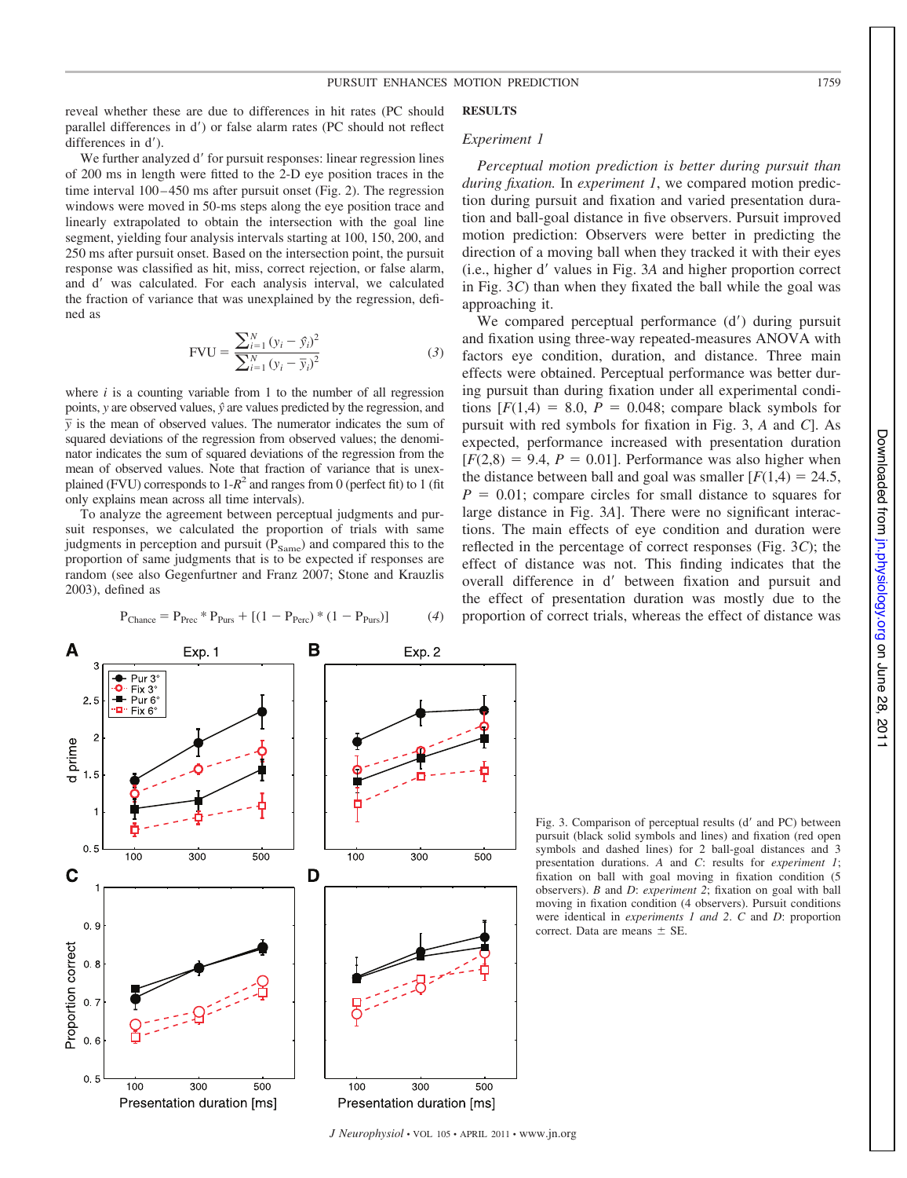reveal whether these are due to differences in hit rates (PC should parallel differences in d') or false alarm rates (PC should not reflect differences in d').

We further analyzed d' for pursuit responses: linear regression lines of 200 ms in length were fitted to the 2-D eye position traces in the time interval 100–450 ms after pursuit onset (Fig. 2). The regression windows were moved in 50-ms steps along the eye position trace and linearly extrapolated to obtain the intersection with the goal line segment, yielding four analysis intervals starting at 100, 150, 200, and 250 ms after pursuit onset. Based on the intersection point, the pursuit response was classified as hit, miss, correct rejection, or false alarm, and d' was calculated. For each analysis interval, we calculated the fraction of variance that was unexplaint ned as

$$
FVU = \frac{\sum_{i=1}^{N} (y_i - \hat{y}_i)^2}{\sum_{i=1}^{N} (y_i - \bar{y}_i)^2}
$$
 (3)

where  $i$  is a counting variable from 1 to the number of all regression points, *y* are observed values, *yˆ* are values predicted by the regression, and  $\overline{y}$  is the mean of observed values. The numerator indicates the sum of squared deviations of the regression from observed values; the denominator indicates the sum of squared deviations of the regression from the mean of observed values. Note that fraction of variance that is unexplained (FVU) corresponds to  $1-R^2$  and ranges from 0 (perfect fit) to 1 (fit only explains mean across all time intervals).

To analyze the agreement between perceptual judgments and pursuit responses, we calculated the proportion of trials with same judgments in perception and pursuit  $(P_{Same})$  and compared this to the proportion of same judgments that is to be expected if responses are random (see also Gegenfurtner and Franz 2007; Stone and Krauzlis 2003), defined as

Exp. 1

A

$$
P_{\text{Change}} = P_{\text{Prec}} * P_{\text{Purs}} + [(1 - P_{\text{Perc}}) * (1 - P_{\text{Purs}})] \tag{4}
$$

В

Exp. 2

$$
4 \text{ m} \cdot \text{m} \cdot \text{m} \cdot \text{m}
$$
\nand by the regression, defi-

**RESULTS**

## *Experiment 1*

*Perceptual motion prediction is better during pursuit than during fixation.* In *experiment 1*, we compared motion prediction during pursuit and fixation and varied presentation duration and ball-goal distance in five observers. Pursuit improved motion prediction: Observers were better in predicting the direction of a moving ball when they tracked it with their eyes (i.e., higher d= values in Fig. 3*A* and higher proportion correct in Fig. 3*C*) than when they fixated the ball while the goal was approaching it.

We compared perceptual performance  $(d')$  during pursuit and fixation using three-way repeated-measures ANOVA with factors eye condition, duration, and distance. Three main effects were obtained. Perceptual performance was better during pursuit than during fixation under all experimental conditions  $[F(1,4) = 8.0, P = 0.048;$  compare black symbols for pursuit with red symbols for fixation in Fig. 3, *A* and *C*]. As expected, performance increased with presentation duration  $[F(2,8) = 9.4, P = 0.01]$ . Performance was also higher when the distance between ball and goal was smaller  $[F(1,4) = 24.5]$ ,  $P = 0.01$ ; compare circles for small distance to squares for large distance in Fig. 3*A*]. There were no significant interactions. The main effects of eye condition and duration were reflected in the percentage of correct responses (Fig. 3*C*); the effect of distance was not. This finding indicates that the overall difference in d' between fixation and pursuit and the effect of presentation duration was mostly due to the proportion of correct trials, whereas the effect of distance was



Fig. 3. Comparison of perceptual results (d' and PC) between pursuit (black solid symbols and lines) and fixation (red open symbols and dashed lines) for 2 ball-goal distances and 3 presentation durations. *A* and *C*: results for *experiment 1*; fixation on ball with goal moving in fixation condition (5 observers). *B* and *D*: *experiment 2*; fixation on goal with ball moving in fixation condition (4 observers). Pursuit conditions were identical in *experiments 1 and 2*. *C* and *D*: proportion correct. Data are means  $\pm$  SE.

Pur  $3<sup>o</sup>$ ۰  $Fix 3^{\circ}$  $2.5$ Pur<sub>6</sub> Fix 6 d prime  $0.5$ 100  $\overline{300}$ 500  $\frac{1}{100}$  $300$ 500 C D  $0.9$ Proportion correct  $0.8$  $0.7$  $0.6$  $0.5$ 100 300 500 100 300 **500** Presentation duration [ms] Presentation duration [ms]

*J Neurophysiol* • VOL 105 • APRIL 2011 • www.jn.org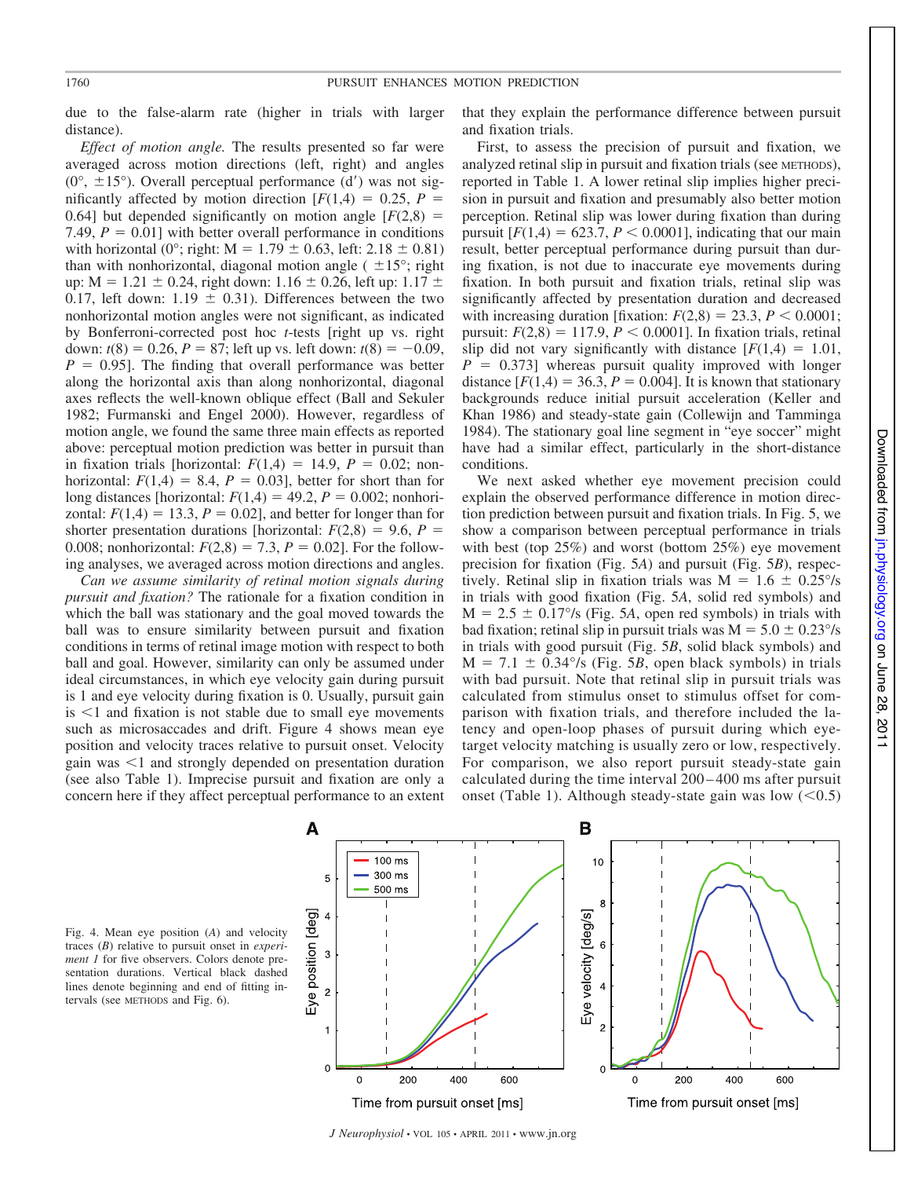due to the false-alarm rate (higher in trials with larger distance).

*Effect of motion angle.* The results presented so far were averaged across motion directions (left, right) and angles  $(0^{\circ}, \pm 15^{\circ})$ . Overall perceptual performance  $(d')$  was not significantly affected by motion direction  $[F(1,4) = 0.25, P =$ 0.64] but depended significantly on motion angle  $[F(2,8) =$ 7.49,  $P = 0.01$ ] with better overall performance in conditions with horizontal (0°; right:  $M = 1.79 \pm 0.63$ , left: 2.18  $\pm$  0.81) than with nonhorizontal, diagonal motion angle ( $\pm 15^{\circ}$ ; right up:  $M = 1.21 \pm 0.24$ , right down: 1.16  $\pm$  0.26, left up: 1.17  $\pm$ 0.17, left down: 1.19  $\pm$  0.31). Differences between the two nonhorizontal motion angles were not significant, as indicated by Bonferroni-corrected post hoc *t*-tests [right up vs. right down:  $t(8) = 0.26$ ,  $P = 87$ ; left up vs. left down:  $t(8) = -0.09$ ,  $P = 0.95$ . The finding that overall performance was better along the horizontal axis than along nonhorizontal, diagonal axes reflects the well-known oblique effect (Ball and Sekuler 1982; Furmanski and Engel 2000). However, regardless of motion angle, we found the same three main effects as reported above: perceptual motion prediction was better in pursuit than in fixation trials [horizontal:  $F(1,4) = 14.9$ ,  $P = 0.02$ ; nonhorizontal:  $F(1,4) = 8.4$ ,  $P = 0.03$ ], better for short than for long distances [horizontal:  $F(1,4) = 49.2$ ,  $P = 0.002$ ; nonhorizontal:  $F(1,4) = 13.3$ ,  $P = 0.02$ , and better for longer than for shorter presentation durations [horizontal:  $F(2,8) = 9.6$ ,  $P =$ 0.008; nonhorizontal:  $F(2,8) = 7.3$ ,  $P = 0.02$ ]. For the following analyses, we averaged across motion directions and angles.

*Can we assume similarity of retinal motion signals during pursuit and fixation?* The rationale for a fixation condition in which the ball was stationary and the goal moved towards the ball was to ensure similarity between pursuit and fixation conditions in terms of retinal image motion with respect to both ball and goal. However, similarity can only be assumed under ideal circumstances, in which eye velocity gain during pursuit is 1 and eye velocity during fixation is 0. Usually, pursuit gain  $is < 1$  and fixation is not stable due to small eye movements such as microsaccades and drift. Figure 4 shows mean eye position and velocity traces relative to pursuit onset. Velocity gain was  $\leq 1$  and strongly depended on presentation duration (see also Table 1). Imprecise pursuit and fixation are only a concern here if they affect perceptual performance to an extent that they explain the performance difference between pursuit and fixation trials.

First, to assess the precision of pursuit and fixation, we analyzed retinal slip in pursuit and fixation trials (see METHODS), reported in Table 1. A lower retinal slip implies higher precision in pursuit and fixation and presumably also better motion perception. Retinal slip was lower during fixation than during pursuit  $[F(1,4) = 623.7, P < 0.0001]$ , indicating that our main result, better perceptual performance during pursuit than during fixation, is not due to inaccurate eye movements during fixation. In both pursuit and fixation trials, retinal slip was significantly affected by presentation duration and decreased with increasing duration [fixation:  $F(2,8) = 23.3$ ,  $P < 0.0001$ ; pursuit:  $F(2,8) = 117.9, P < 0.0001$ ]. In fixation trials, retinal slip did not vary significantly with distance  $[F(1,4) = 1.01]$ ,  $P = 0.373$ ] whereas pursuit quality improved with longer distance  $[F(1,4) = 36.3, P = 0.004]$ . It is known that stationary backgrounds reduce initial pursuit acceleration (Keller and Khan 1986) and steady-state gain (Collewijn and Tamminga 1984). The stationary goal line segment in "eye soccer" might have had a similar effect, particularly in the short-distance conditions.

We next asked whether eye movement precision could explain the observed performance difference in motion direction prediction between pursuit and fixation trials. In Fig. 5, we show a comparison between perceptual performance in trials with best (top 25%) and worst (bottom 25%) eye movement precision for fixation (Fig. 5*A*) and pursuit (Fig. 5*B*), respectively. Retinal slip in fixation trials was  $M = 1.6 \pm 0.25\%$ in trials with good fixation (Fig. 5*A*, solid red symbols) and  $M = 2.5 \pm 0.17\%$  (Fig. 5A, open red symbols) in trials with bad fixation; retinal slip in pursuit trials was  $M = 5.0 \pm 0.23^{\circ}/s$ in trials with good pursuit (Fig. 5*B*, solid black symbols) and  $M = 7.1 \pm 0.34\%$  (Fig. 5*B*, open black symbols) in trials with bad pursuit. Note that retinal slip in pursuit trials was calculated from stimulus onset to stimulus offset for comparison with fixation trials, and therefore included the latency and open-loop phases of pursuit during which eyetarget velocity matching is usually zero or low, respectively. For comparison, we also report pursuit steady-state gain calculated during the time interval 200 – 400 ms after pursuit onset (Table 1). Although steady-state gain was low  $(< 0.5)$ 

Fig. 4. Mean eye position (*A*) and velocity traces (*B*) relative to pursuit onset in *experiment 1* for five observers. Colors denote presentation durations. Vertical black dashed lines denote beginning and end of fitting intervals (see METHODS and Fig. 6).



*J Neurophysiol* • VOL 105 • APRIL 2011 • www.jn.org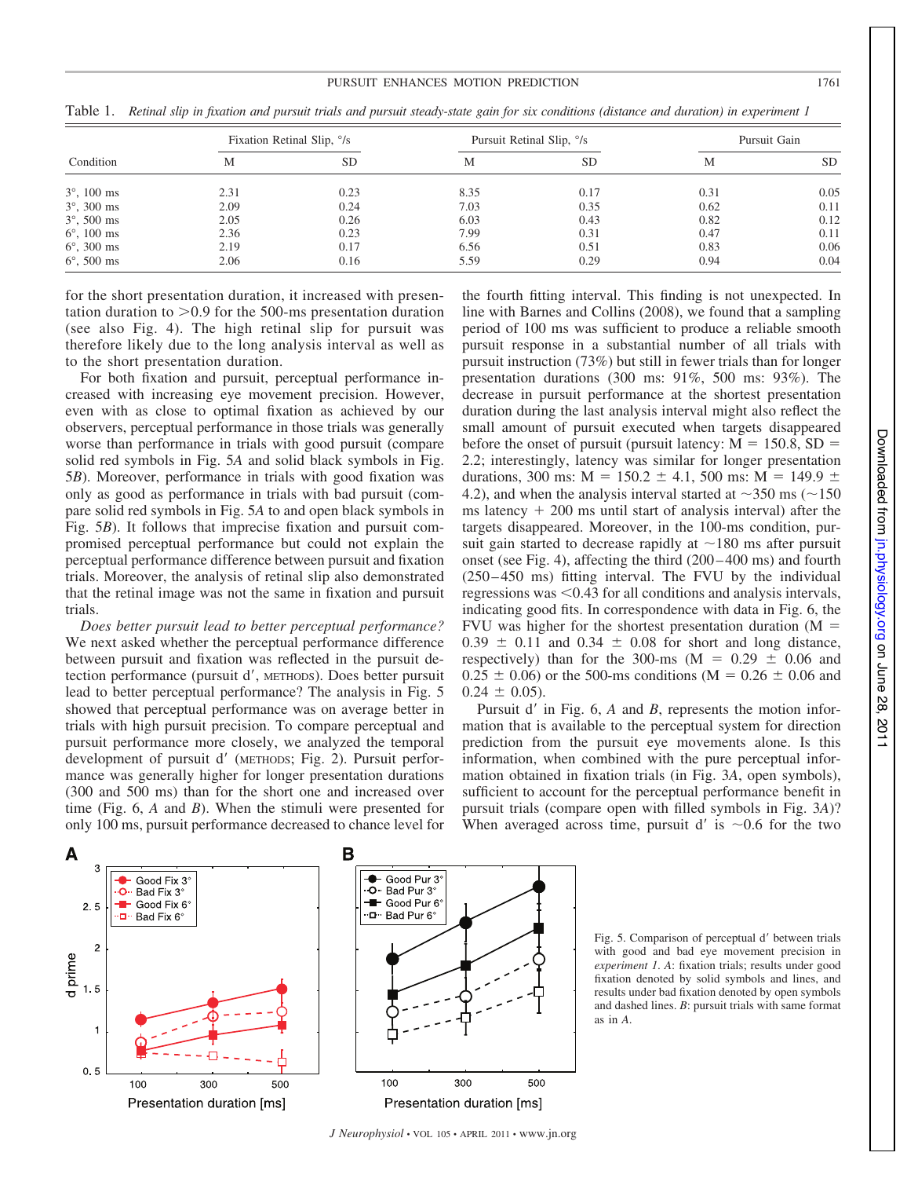#### PURSUIT ENHANCES MOTION PREDICTION 1761

| Condition            | Fixation Retinal Slip, $\frac{\delta}{s}$ |      | Pursuit Retinal Slip, <sup>o</sup> /s |           | Pursuit Gain |           |
|----------------------|-------------------------------------------|------|---------------------------------------|-----------|--------------|-----------|
|                      | М                                         | SD   | M                                     | <b>SD</b> | М            | <b>SD</b> |
| $3^{\circ}$ , 100 ms | 2.31                                      | 0.23 | 8.35                                  | 0.17      | 0.31         | 0.05      |
| $3^{\circ}$ , 300 ms | 2.09                                      | 0.24 | 7.03                                  | 0.35      | 0.62         | 0.11      |
| $3^{\circ}$ , 500 ms | 2.05                                      | 0.26 | 6.03                                  | 0.43      | 0.82         | 0.12      |
| $6^{\circ}$ , 100 ms | 2.36                                      | 0.23 | 7.99                                  | 0.31      | 0.47         | 0.11      |
| $6^{\circ}$ , 300 ms | 2.19                                      | 0.17 | 6.56                                  | 0.51      | 0.83         | 0.06      |
| $6^{\circ}$ , 500 ms | 2.06                                      | 0.16 | 5.59                                  | 0.29      | 0.94         | 0.04      |

Table 1. *Retinal slip in fixation and pursuit trials and pursuit steady-state gain for six conditions (distance and duration) in experiment 1*

for the short presentation duration, it increased with presentation duration to  $>0.9$  for the 500-ms presentation duration (see also Fig. 4). The high retinal slip for pursuit was therefore likely due to the long analysis interval as well as to the short presentation duration.

For both fixation and pursuit, perceptual performance increased with increasing eye movement precision. However, even with as close to optimal fixation as achieved by our observers, perceptual performance in those trials was generally worse than performance in trials with good pursuit (compare solid red symbols in Fig. 5*A* and solid black symbols in Fig. 5*B*). Moreover, performance in trials with good fixation was only as good as performance in trials with bad pursuit (compare solid red symbols in Fig. 5*A* to and open black symbols in Fig. 5*B*). It follows that imprecise fixation and pursuit compromised perceptual performance but could not explain the perceptual performance difference between pursuit and fixation trials. Moreover, the analysis of retinal slip also demonstrated that the retinal image was not the same in fixation and pursuit trials.

*Does better pursuit lead to better perceptual performance?* We next asked whether the perceptual performance difference between pursuit and fixation was reflected in the pursuit detection performance (pursuit d', METHODS). Does better pursuit lead to better perceptual performance? The analysis in Fig. 5 showed that perceptual performance was on average better in trials with high pursuit precision. To compare perceptual and pursuit performance more closely, we analyzed the temporal development of pursuit d' (METHODS; Fig. 2). Pursuit performance was generally higher for longer presentation durations (300 and 500 ms) than for the short one and increased over time (Fig. 6, *A* and *B*). When the stimuli were presented for only 100 ms, pursuit performance decreased to chance level for

the fourth fitting interval. This finding is not unexpected. In line with Barnes and Collins (2008), we found that a sampling period of 100 ms was sufficient to produce a reliable smooth pursuit response in a substantial number of all trials with pursuit instruction (73%) but still in fewer trials than for longer presentation durations (300 ms: 91%, 500 ms: 93%). The decrease in pursuit performance at the shortest presentation duration during the last analysis interval might also reflect the small amount of pursuit executed when targets disappeared before the onset of pursuit (pursuit latency:  $M = 150.8$ , SD = 2.2; interestingly, latency was similar for longer presentation durations, 300 ms:  $M = 150.2 \pm 4.1$ , 500 ms:  $M = 149.9 \pm 149.9$ 4.2), and when the analysis interval started at  $\sim$ 350 ms ( $\sim$ 150 ms latency  $+200$  ms until start of analysis interval) after the targets disappeared. Moreover, in the 100-ms condition, pursuit gain started to decrease rapidly at  $\sim$ 180 ms after pursuit onset (see Fig. 4), affecting the third (200 – 400 ms) and fourth (250 – 450 ms) fitting interval. The FVU by the individual regressions was  $\leq 0.43$  for all conditions and analysis intervals, indicating good fits. In correspondence with data in Fig. 6, the FVU was higher for the shortest presentation duration  $(M =$  $0.39 \pm 0.11$  and  $0.34 \pm 0.08$  for short and long distance, respectively) than for the 300-ms ( $M = 0.29 \pm 0.06$  and  $0.25 \pm 0.06$ ) or the 500-ms conditions (M = 0.26  $\pm$  0.06 and  $0.24 \pm 0.05$ .

Pursuit d' in Fig. 6, *A* and *B*, represents the motion information that is available to the perceptual system for direction prediction from the pursuit eye movements alone. Is this information, when combined with the pure perceptual information obtained in fixation trials (in Fig. 3*A*, open symbols), sufficient to account for the perceptual performance benefit in pursuit trials (compare open with filled symbols in Fig. 3*A*)? When averaged across time, pursuit d' is  $\sim 0.6$  for the two



Fig. 5. Comparison of perceptual d' between trials with good and bad eye movement precision in *experiment 1*. *A*: fixation trials; results under good fixation denoted by solid symbols and lines, and results under bad fixation denoted by open symbols and dashed lines. *B*: pursuit trials with same format as in *A*.

Downloaded from jn.physiology.org on June 28, Downloaded from [jn.physiology.org](http://jn.physiology.org/) on June 28, 2011

 $-2011$ 

*J Neurophysiol* • VOL 105 • APRIL 2011 • www.jn.org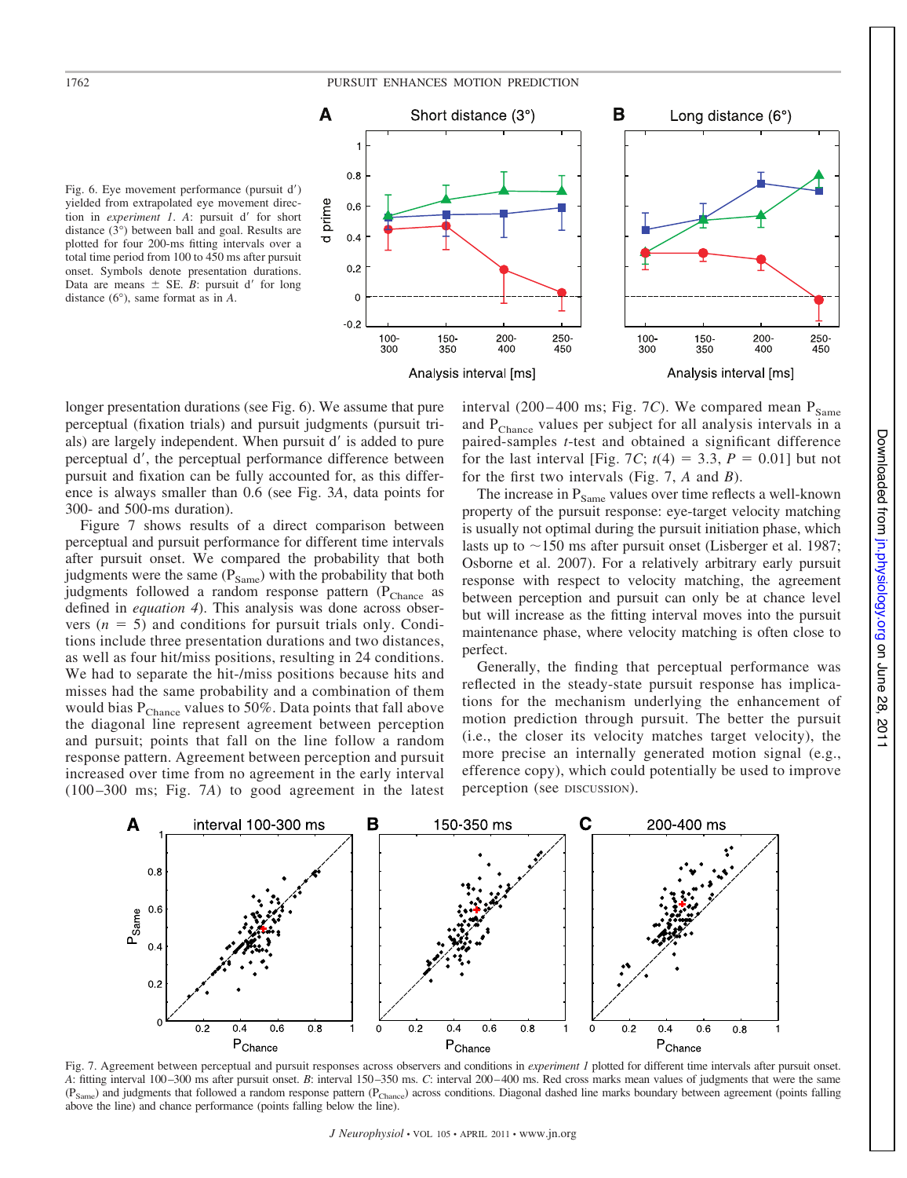# 1762 PURSUIT ENHANCES MOTION PREDICTION



Fig. 6. Eye movement performance (pursuit d') yielded from extrapolated eye movement direction in *experiment 1*. A: pursuit d' for short distance (3°) between ball and goal. Results are plotted for four 200-ms fitting intervals over a total time period from 100 to 450 ms after pursuit onset. Symbols denote presentation durations. Data are means  $\pm$  SE. *B*: pursuit d' for long distance (6°), same format as in *A*.

longer presentation durations (see Fig. 6). We assume that pure perceptual (fixation trials) and pursuit judgments (pursuit trials) are largely independent. When pursuit d' is added to pure perceptual d', the perceptual performance difference between pursuit and fixation can be fully accounted for, as this difference is always smaller than 0.6 (see Fig. 3*A*, data points for 300- and 500-ms duration).

Figure 7 shows results of a direct comparison between perceptual and pursuit performance for different time intervals after pursuit onset. We compared the probability that both judgments were the same  $(P_{Same})$  with the probability that both judgments followed a random response pattern  $(P_{\text{Change}})$  as defined in *equation 4*). This analysis was done across observers  $(n = 5)$  and conditions for pursuit trials only. Conditions include three presentation durations and two distances, as well as four hit/miss positions, resulting in 24 conditions. We had to separate the hit-/miss positions because hits and misses had the same probability and a combination of them would bias  $P_{Change}$  values to 50%. Data points that fall above the diagonal line represent agreement between perception and pursuit; points that fall on the line follow a random response pattern. Agreement between perception and pursuit increased over time from no agreement in the early interval (100 –300 ms; Fig. 7*A*) to good agreement in the latest interval  $(200 - 400 \text{ ms}; \text{Fig. 7C})$ . We compared mean  $P_{\text{Same}}$ and  $P_{Change}$  values per subject for all analysis intervals in a paired-samples *t*-test and obtained a significant difference for the last interval [Fig. 7C;  $t(4) = 3.3$ ,  $P = 0.01$ ] but not for the first two intervals (Fig. 7, *A* and *B*).

The increase in  $P_{Same}$  values over time reflects a well-known property of the pursuit response: eye-target velocity matching is usually not optimal during the pursuit initiation phase, which lasts up to  $\sim$ 150 ms after pursuit onset (Lisberger et al. 1987; Osborne et al. 2007). For a relatively arbitrary early pursuit response with respect to velocity matching, the agreement between perception and pursuit can only be at chance level but will increase as the fitting interval moves into the pursuit maintenance phase, where velocity matching is often close to perfect.

Generally, the finding that perceptual performance was reflected in the steady-state pursuit response has implications for the mechanism underlying the enhancement of motion prediction through pursuit. The better the pursuit (i.e., the closer its velocity matches target velocity), the more precise an internally generated motion signal (e.g., efference copy), which could potentially be used to improve perception (see DISCUSSION).



Fig. 7. Agreement between perceptual and pursuit responses across observers and conditions in *experiment 1* plotted for different time intervals after pursuit onset. *A*: fitting interval 100–300 ms after pursuit onset. *B*: interval 150–350 ms. *C*: interval 200–400 ms. Red cross marks mean values of judgments that were the same  $(P_{Same})$  and judgments that followed a random response pattern  $(P_{Change})$  across conditions. Diagonal dashed line marks boundary between agreement (points falling above the line) and chance performance (points falling below the line).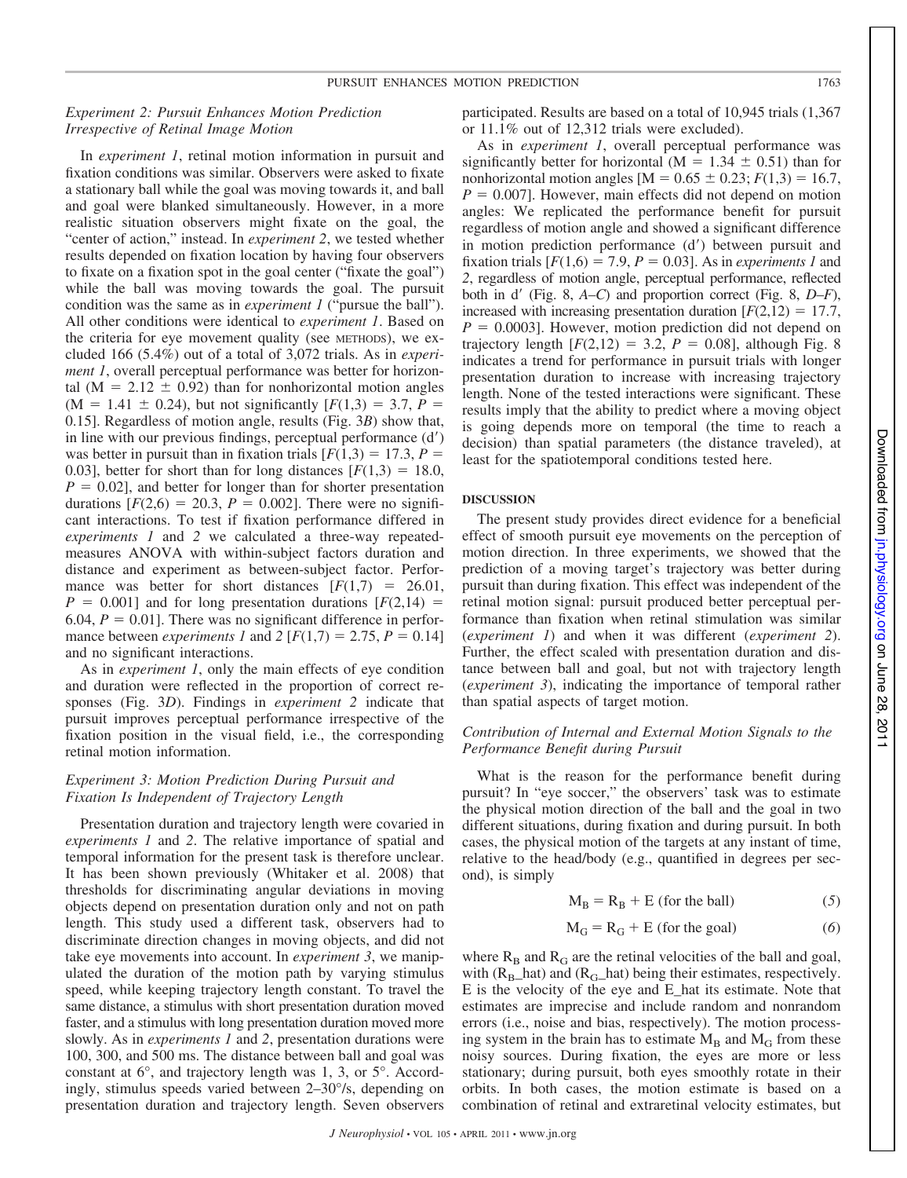# *Experiment 2: Pursuit Enhances Motion Prediction Irrespective of Retinal Image Motion*

In *experiment 1*, retinal motion information in pursuit and fixation conditions was similar. Observers were asked to fixate a stationary ball while the goal was moving towards it, and ball and goal were blanked simultaneously. However, in a more realistic situation observers might fixate on the goal, the "center of action," instead. In *experiment 2*, we tested whether results depended on fixation location by having four observers to fixate on a fixation spot in the goal center ("fixate the goal") while the ball was moving towards the goal. The pursuit condition was the same as in *experiment 1* ("pursue the ball"). All other conditions were identical to *experiment 1*. Based on the criteria for eye movement quality (see METHODS), we excluded 166 (5.4%) out of a total of 3,072 trials. As in *experiment 1*, overall perceptual performance was better for horizontal ( $M = 2.12 \pm 0.92$ ) than for nonhorizontal motion angles  $(M = 1.41 \pm 0.24)$ , but not significantly  $[F(1,3) = 3.7, P =$ 0.15]. Regardless of motion angle, results (Fig. 3*B*) show that, in line with our previous findings, perceptual performance  $(d')$ was better in pursuit than in fixation trials  $[F(1,3) = 17.3, P =$ 0.03], better for short than for long distances  $[F(1,3) = 18.0,$  $P = 0.02$ , and better for longer than for shorter presentation durations  $[F(2,6) = 20.3, P = 0.002]$ . There were no significant interactions. To test if fixation performance differed in *experiments 1* and *2* we calculated a three-way repeatedmeasures ANOVA with within-subject factors duration and distance and experiment as between-subject factor. Performance was better for short distances  $[F(1,7) = 26.01]$ ,  $P = 0.001$ ] and for long presentation durations  $[F(2,14) =$ 6.04,  $P = 0.01$ ]. There was no significant difference in performance between *experiments 1* and 2  $[F(1,7) = 2.75, P = 0.14]$ and no significant interactions.

As in *experiment 1*, only the main effects of eye condition and duration were reflected in the proportion of correct responses (Fig. 3*D*). Findings in *experiment 2* indicate that pursuit improves perceptual performance irrespective of the fixation position in the visual field, i.e., the corresponding retinal motion information.

# *Experiment 3: Motion Prediction During Pursuit and Fixation Is Independent of Trajectory Length*

Presentation duration and trajectory length were covaried in *experiments 1* and *2*. The relative importance of spatial and temporal information for the present task is therefore unclear. It has been shown previously (Whitaker et al. 2008) that thresholds for discriminating angular deviations in moving objects depend on presentation duration only and not on path length. This study used a different task, observers had to discriminate direction changes in moving objects, and did not take eye movements into account. In *experiment 3*, we manipulated the duration of the motion path by varying stimulus speed, while keeping trajectory length constant. To travel the same distance, a stimulus with short presentation duration moved faster, and a stimulus with long presentation duration moved more slowly. As in *experiments 1* and *2*, presentation durations were 100, 300, and 500 ms. The distance between ball and goal was constant at 6°, and trajectory length was 1, 3, or 5°. Accordingly, stimulus speeds varied between 2–30°/s, depending on presentation duration and trajectory length. Seven observers

participated. Results are based on a total of 10,945 trials (1,367 or 11.1% out of 12,312 trials were excluded).

As in *experiment 1*, overall perceptual performance was significantly better for horizontal ( $M = 1.34 \pm 0.51$ ) than for nonhorizontal motion angles  $[M = 0.65 \pm 0.23; F(1,3) = 16.7,$  $P = 0.007$ ]. However, main effects did not depend on motion angles: We replicated the performance benefit for pursuit regardless of motion angle and showed a significant difference in motion prediction performance  $(d')$  between pursuit and fixation trials  $[F(1,6) = 7.9, P = 0.03]$ . As in *experiments 1* and *2*, regardless of motion angle, perceptual performance, reflected both in d' (Fig. 8, *A–C*) and proportion correct (Fig. 8, *D–F*), increased with increasing presentation duration  $[F(2,12) = 17.7]$ ,  $P = 0.0003$ . However, motion prediction did not depend on trajectory length  $[F(2,12) = 3.2, P = 0.08]$ , although Fig. 8 indicates a trend for performance in pursuit trials with longer presentation duration to increase with increasing trajectory length. None of the tested interactions were significant. These results imply that the ability to predict where a moving object is going depends more on temporal (the time to reach a decision) than spatial parameters (the distance traveled), at least for the spatiotemporal conditions tested here.

## **DISCUSSION**

The present study provides direct evidence for a beneficial effect of smooth pursuit eye movements on the perception of motion direction. In three experiments, we showed that the prediction of a moving target's trajectory was better during pursuit than during fixation. This effect was independent of the retinal motion signal: pursuit produced better perceptual performance than fixation when retinal stimulation was similar (*experiment 1*) and when it was different (*experiment 2*). Further, the effect scaled with presentation duration and distance between ball and goal, but not with trajectory length (*experiment 3*), indicating the importance of temporal rather than spatial aspects of target motion.

## *Contribution of Internal and External Motion Signals to the Performance Benefit during Pursuit*

What is the reason for the performance benefit during pursuit? In "eye soccer," the observers' task was to estimate the physical motion direction of the ball and the goal in two different situations, during fixation and during pursuit. In both cases, the physical motion of the targets at any instant of time, relative to the head/body (e.g., quantified in degrees per second), is simply

$$
M_B = R_B + E \text{ (for the ball)} \tag{5}
$$

$$
M_G = R_G + E \text{ (for the goal)} \tag{6}
$$

where  $R_B$  and  $R_G$  are the retinal velocities of the ball and goal, with  $(R_B<sub>B</sub>$ hat) and  $(R_G<sub>B</sub>$ hat) being their estimates, respectively. E is the velocity of the eye and E\_hat its estimate. Note that estimates are imprecise and include random and nonrandom errors (i.e., noise and bias, respectively). The motion processing system in the brain has to estimate  $M_B$  and  $M_G$  from these noisy sources. During fixation, the eyes are more or less stationary; during pursuit, both eyes smoothly rotate in their orbits. In both cases, the motion estimate is based on a combination of retinal and extraretinal velocity estimates, but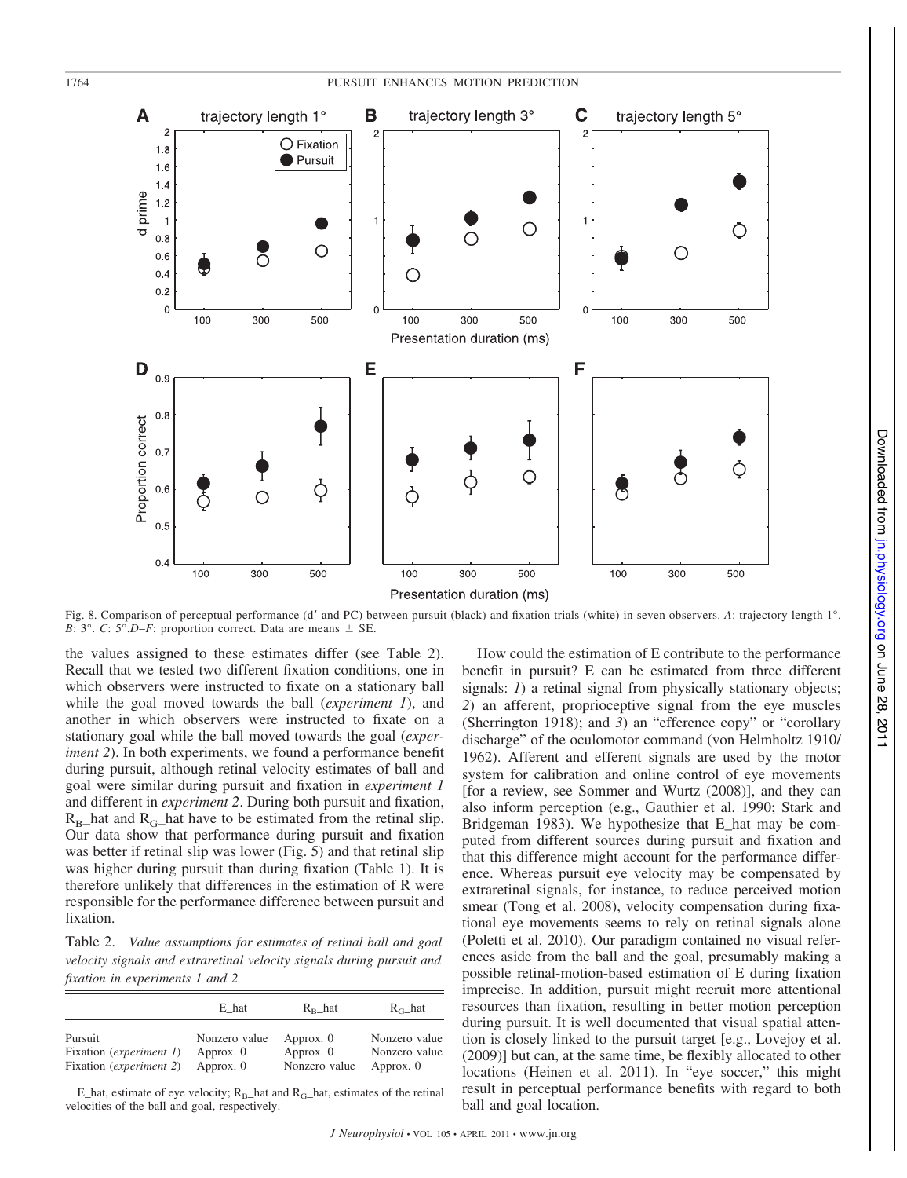

Presentation duration (ms)

Fig. 8. Comparison of perceptual performance (d' and PC) between pursuit (black) and fixation trials (white) in seven observers. *A*: trajectory length 1°. *B*:  $3^{\circ}$ . *C*:  $5^{\circ}$ .*D–F*: proportion correct. Data are means  $\pm$  SE.

the values assigned to these estimates differ (see Table 2). Recall that we tested two different fixation conditions, one in which observers were instructed to fixate on a stationary ball while the goal moved towards the ball (*experiment 1*), and another in which observers were instructed to fixate on a stationary goal while the ball moved towards the goal (*experiment 2*). In both experiments, we found a performance benefit during pursuit, although retinal velocity estimates of ball and goal were similar during pursuit and fixation in *experiment 1* and different in *experiment 2*. During both pursuit and fixation,  $R_{\text{B}}$  hat and  $R_{\text{G}}$  hat have to be estimated from the retinal slip. Our data show that performance during pursuit and fixation was better if retinal slip was lower (Fig. 5) and that retinal slip was higher during pursuit than during fixation (Table 1). It is therefore unlikely that differences in the estimation of R were responsible for the performance difference between pursuit and fixation.

Table 2. *Value assumptions for estimates of retinal ball and goal velocity signals and extraretinal velocity signals during pursuit and fixation in experiments 1 and 2*

|                                  | E hat         | $R_{\rm B}$ hat | $R_{\rm G}$ _hat |
|----------------------------------|---------------|-----------------|------------------|
| Pursuit                          | Nonzero value | Approx. 0       | Nonzero value    |
| Fixation ( <i>experiment 1</i> ) | Approx. 0     | Approx. 0       | Nonzero value    |
| Fixation ( <i>experiment 2</i> ) | Approx. 0     | Nonzero value   | Approx. 0        |

E\_hat, estimate of eye velocity;  $R_B$ \_hat and  $R_G$ \_hat, estimates of the retinal velocities of the ball and goal, respectively.

How could the estimation of E contribute to the performance benefit in pursuit? E can be estimated from three different signals: *1*) a retinal signal from physically stationary objects; *2*) an afferent, proprioceptive signal from the eye muscles (Sherrington 1918); and *3*) an "efference copy" or "corollary discharge" of the oculomotor command (von Helmholtz 1910/ 1962). Afferent and efferent signals are used by the motor system for calibration and online control of eye movements [for a review, see Sommer and Wurtz (2008)], and they can also inform perception (e.g., Gauthier et al. 1990; Stark and Bridgeman 1983). We hypothesize that E\_hat may be computed from different sources during pursuit and fixation and that this difference might account for the performance difference. Whereas pursuit eye velocity may be compensated by extraretinal signals, for instance, to reduce perceived motion smear (Tong et al. 2008), velocity compensation during fixational eye movements seems to rely on retinal signals alone (Poletti et al. 2010). Our paradigm contained no visual references aside from the ball and the goal, presumably making a possible retinal-motion-based estimation of E during fixation imprecise. In addition, pursuit might recruit more attentional resources than fixation, resulting in better motion perception during pursuit. It is well documented that visual spatial attention is closely linked to the pursuit target [e.g., Lovejoy et al. (2009)] but can, at the same time, be flexibly allocated to other locations (Heinen et al. 2011). In "eye soccer," this might result in perceptual performance benefits with regard to both ball and goal location.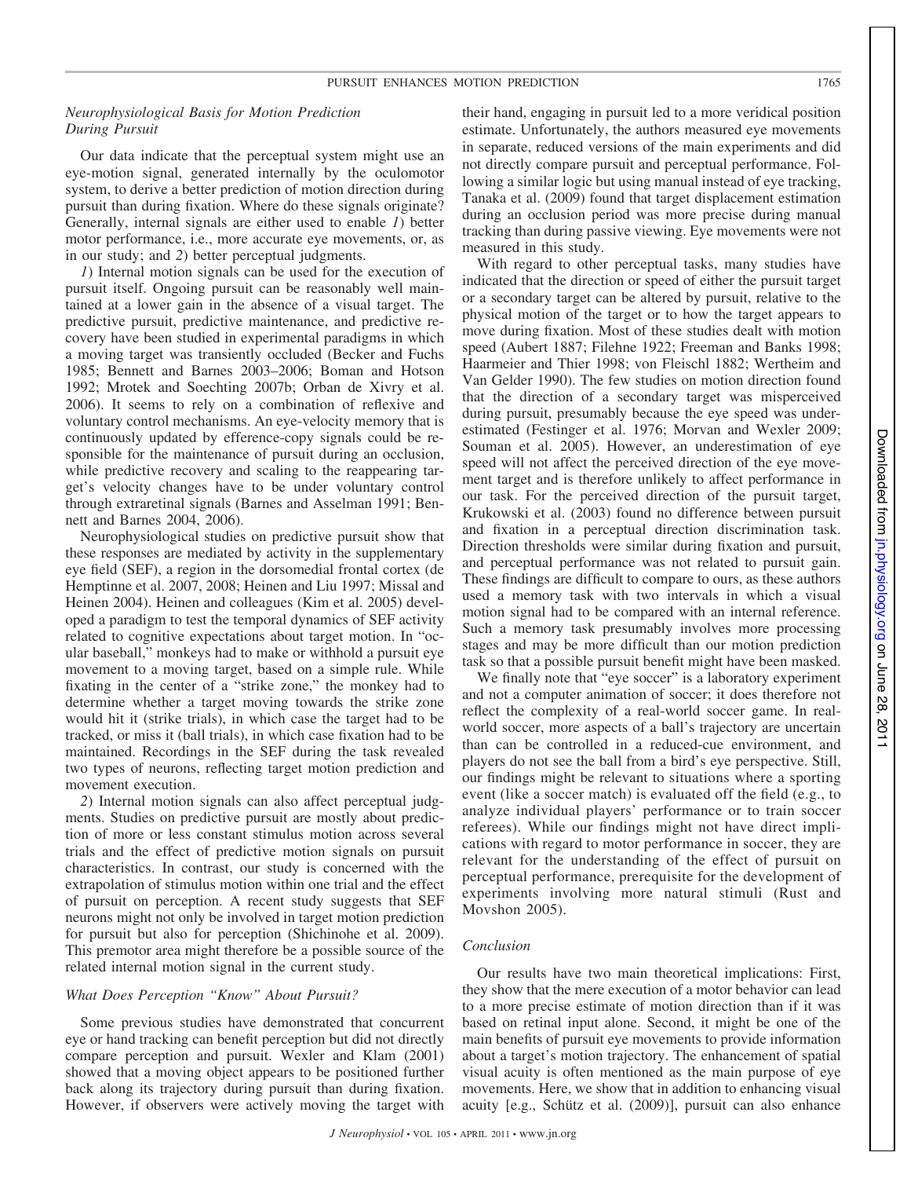# *Neurophysiological Basis for Motion Prediction During Pursuit*

Our data indicate that the perceptual system might use an eye-motion signal, generated internally by the oculomotor system, to derive a better prediction of motion direction during pursuit than during fixation. Where do these signals originate? Generally, internal signals are either used to enable *1*) better motor performance, i.e., more accurate eye movements, or, as in our study; and *2*) better perceptual judgments.

*1*) Internal motion signals can be used for the execution of pursuit itself. Ongoing pursuit can be reasonably well maintained at a lower gain in the absence of a visual target. The predictive pursuit, predictive maintenance, and predictive recovery have been studied in experimental paradigms in which a moving target was transiently occluded (Becker and Fuchs 1985; Bennett and Barnes 2003–2006; Boman and Hotson 1992; Mrotek and Soechting 2007b; Orban de Xivry et al. 2006). It seems to rely on a combination of reflexive and voluntary control mechanisms. An eye-velocity memory that is continuously updated by efference-copy signals could be responsible for the maintenance of pursuit during an occlusion, while predictive recovery and scaling to the reappearing target's velocity changes have to be under voluntary control through extraretinal signals (Barnes and Asselman 1991; Bennett and Barnes 2004, 2006).

Neurophysiological studies on predictive pursuit show that these responses are mediated by activity in the supplementary eye field (SEF), a region in the dorsomedial frontal cortex (de Hemptinne et al. 2007, 2008; Heinen and Liu 1997; Missal and Heinen 2004). Heinen and colleagues (Kim et al. 2005) developed a paradigm to test the temporal dynamics of SEF activity related to cognitive expectations about target motion. In "ocular baseball," monkeys had to make or withhold a pursuit eye movement to a moving target, based on a simple rule. While fixating in the center of a "strike zone," the monkey had to determine whether a target moving towards the strike zone would hit it (strike trials), in which case the target had to be tracked, or miss it (ball trials), in which case fixation had to be maintained. Recordings in the SEF during the task revealed two types of neurons, reflecting target motion prediction and movement execution.

*2*) Internal motion signals can also affect perceptual judgments. Studies on predictive pursuit are mostly about prediction of more or less constant stimulus motion across several trials and the effect of predictive motion signals on pursuit characteristics. In contrast, our study is concerned with the extrapolation of stimulus motion within one trial and the effect of pursuit on perception. A recent study suggests that SEF neurons might not only be involved in target motion prediction for pursuit but also for perception (Shichinohe et al. 2009). This premotor area might therefore be a possible source of the related internal motion signal in the current study.

## *What Does Perception "Know" About Pursuit?*

Some previous studies have demonstrated that concurrent eye or hand tracking can benefit perception but did not directly compare perception and pursuit. Wexler and Klam (2001) showed that a moving object appears to be positioned further back along its trajectory during pursuit than during fixation. However, if observers were actively moving the target with their hand, engaging in pursuit led to a more veridical position estimate. Unfortunately, the authors measured eye movements in separate, reduced versions of the main experiments and did not directly compare pursuit and perceptual performance. Following a similar logic but using manual instead of eye tracking, Tanaka et al. (2009) found that target displacement estimation during an occlusion period was more precise during manual tracking than during passive viewing. Eye movements were not measured in this study.

With regard to other perceptual tasks, many studies have indicated that the direction or speed of either the pursuit target or a secondary target can be altered by pursuit, relative to the physical motion of the target or to how the target appears to move during fixation. Most of these studies dealt with motion speed (Aubert 1887; Filehne 1922; Freeman and Banks 1998; Haarmeier and Thier 1998; von Fleischl 1882; Wertheim and Van Gelder 1990). The few studies on motion direction found that the direction of a secondary target was misperceived during pursuit, presumably because the eye speed was underestimated (Festinger et al. 1976; Morvan and Wexler 2009; Souman et al. 2005). However, an underestimation of eye speed will not affect the perceived direction of the eye movement target and is therefore unlikely to affect performance in our task. For the perceived direction of the pursuit target, Krukowski et al. (2003) found no difference between pursuit and fixation in a perceptual direction discrimination task. Direction thresholds were similar during fixation and pursuit, and perceptual performance was not related to pursuit gain. These findings are difficult to compare to ours, as these authors used a memory task with two intervals in which a visual motion signal had to be compared with an internal reference. Such a memory task presumably involves more processing stages and may be more difficult than our motion prediction task so that a possible pursuit benefit might have been masked.

We finally note that "eye soccer" is a laboratory experiment and not a computer animation of soccer; it does therefore not reflect the complexity of a real-world soccer game. In realworld soccer, more aspects of a ball's trajectory are uncertain than can be controlled in a reduced-cue environment, and players do not see the ball from a bird's eye perspective. Still, our findings might be relevant to situations where a sporting event (like a soccer match) is evaluated off the field (e.g., to analyze individual players' performance or to train soccer referees). While our findings might not have direct implications with regard to motor performance in soccer, they are relevant for the understanding of the effect of pursuit on perceptual performance, prerequisite for the development of experiments involving more natural stimuli (Rust and Movshon 2005).

## *Conclusion*

Our results have two main theoretical implications: First, they show that the mere execution of a motor behavior can lead to a more precise estimate of motion direction than if it was based on retinal input alone. Second, it might be one of the main benefits of pursuit eye movements to provide information about a target's motion trajectory. The enhancement of spatial visual acuity is often mentioned as the main purpose of eye movements. Here, we show that in addition to enhancing visual acuity [e.g., Schütz et al. (2009)], pursuit can also enhance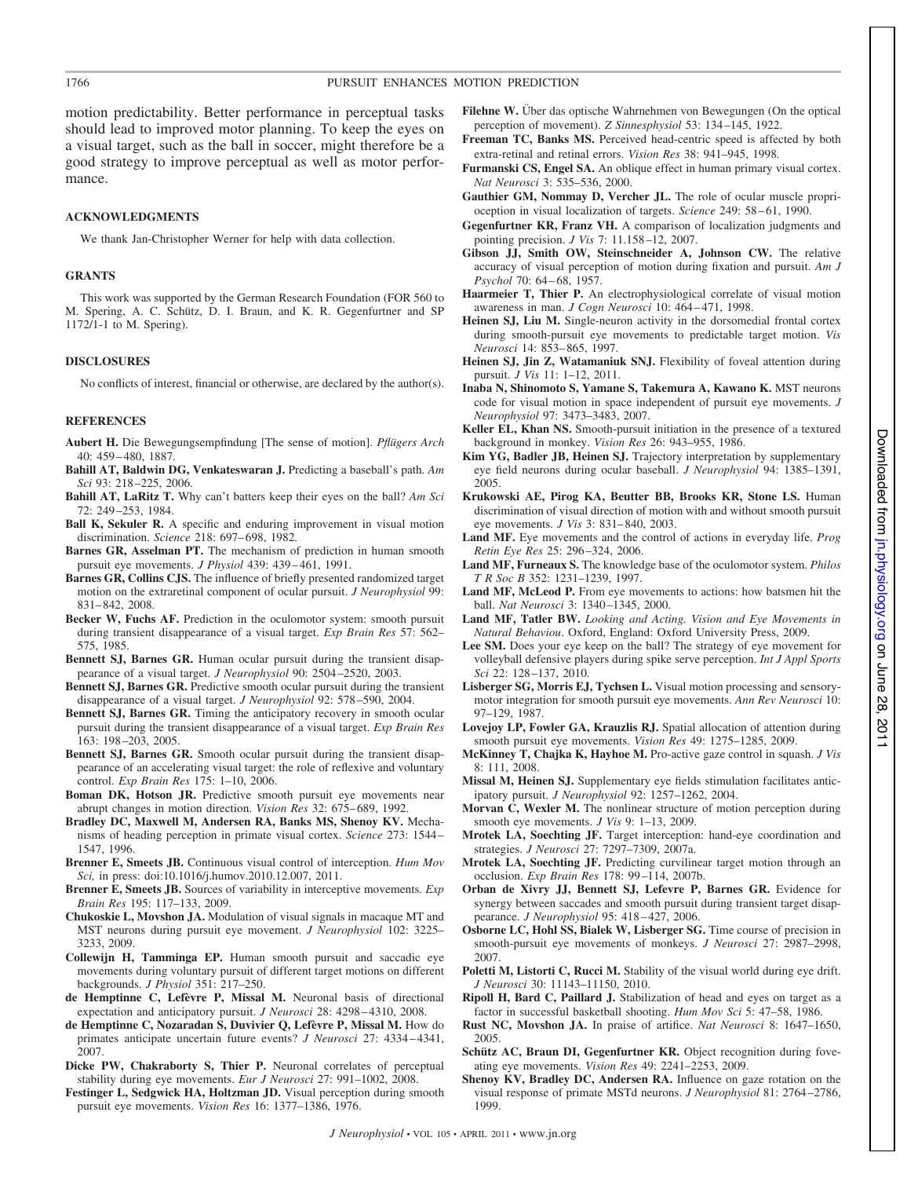motion predictability. Better performance in perceptual tasks should lead to improved motor planning. To keep the eyes on a visual target, such as the ball in soccer, might therefore be a good strategy to improve perceptual as well as motor performance.

#### **ACKNOWLEDGMENTS**

We thank Jan-Christopher Werner for help with data collection.

#### **GRANTS**

This work was supported by the German Research Foundation (FOR 560 to M. Spering, A. C. Schütz, D. I. Braun, and K. R. Gegenfurtner and SP 1172/1-1 to M. Spering).

## **DISCLOSURES**

No conflicts of interest, financial or otherwise, are declared by the author(s).

#### **REFERENCES**

- **Aubert H.** Die Bewegungsempfindung [The sense of motion]. *Pflügers Arch* 40: 459 – 480, 1887.
- **Bahill AT, Baldwin DG, Venkateswaran J.** Predicting a baseball's path. *Am Sci* 93: 218 –225, 2006.
- **Bahill AT, LaRitz T.** Why can't batters keep their eyes on the ball? *Am Sci* 72: 249 –253, 1984.
- **Ball K, Sekuler R.** A specific and enduring improvement in visual motion discrimination. *Science* 218: 697– 698, 1982.
- **Barnes GR, Asselman PT.** The mechanism of prediction in human smooth pursuit eye movements. *J Physiol* 439: 439 – 461, 1991.
- **Barnes GR, Collins CJS.** The influence of briefly presented randomized target motion on the extraretinal component of ocular pursuit. *J Neurophysiol* 99: 831– 842, 2008.
- **Becker W, Fuchs AF.** Prediction in the oculomotor system: smooth pursuit during transient disappearance of a visual target. *Exp Brain Res* 57: 562– 575, 1985.
- **Bennett SJ, Barnes GR.** Human ocular pursuit during the transient disappearance of a visual target. *J Neurophysiol* 90: 2504 –2520, 2003.
- **Bennett SJ, Barnes GR.** Predictive smooth ocular pursuit during the transient disappearance of a visual target. *J Neurophysiol* 92: 578 –590, 2004.
- **Bennett SJ, Barnes GR.** Timing the anticipatory recovery in smooth ocular pursuit during the transient disappearance of a visual target. *Exp Brain Res* 163: 198 –203, 2005.
- **Bennett SJ, Barnes GR.** Smooth ocular pursuit during the transient disappearance of an accelerating visual target: the role of reflexive and voluntary control. *Exp Brain Res* 175: 1–10, 2006.
- **Boman DK, Hotson JR.** Predictive smooth pursuit eye movements near abrupt changes in motion direction. *Vision Res* 32: 675– 689, 1992.
- **Bradley DC, Maxwell M, Andersen RA, Banks MS, Shenoy KV.** Mechanisms of heading perception in primate visual cortex. *Science* 273: 1544 – 1547, 1996.
- **Brenner E, Smeets JB.** Continuous visual control of interception. *Hum Mov Sci,* in press: doi:10.1016/j.humov.2010.12.007, 2011.
- **Brenner E, Smeets JB.** Sources of variability in interceptive movements. *Exp Brain Res* 195: 117–133, 2009.
- **Chukoskie L, Movshon JA.** Modulation of visual signals in macaque MT and MST neurons during pursuit eye movement. *J Neurophysiol* 102: 3225– 3233, 2009.
- **Collewijn H, Tamminga EP.** Human smooth pursuit and saccadic eye movements during voluntary pursuit of different target motions on different backgrounds. *J Physiol* 351: 217–250.
- **de Hemptinne C, Lefèvre P, Missal M.** Neuronal basis of directional expectation and anticipatory pursuit. *J Neurosci* 28: 4298 – 4310, 2008.
- **de Hemptinne C, Nozaradan S, Duvivier Q, Lefèvre P, Missal M.** How do primates anticipate uncertain future events? *J Neurosci* 27: 4334 – 4341, 2007.
- **Dicke PW, Chakraborty S, Thier P.** Neuronal correlates of perceptual stability during eye movements. *Eur J Neurosci* 27: 991–1002, 2008.
- **Festinger L, Sedgwick HA, Holtzman JD.** Visual perception during smooth pursuit eye movements. *Vision Res* 16: 1377–1386, 1976.
- Filehne W. Über das optische Wahrnehmen von Bewegungen (On the optical perception of movement). *Z Sinnesphysiol* 53: 134 –145, 1922.
- **Freeman TC, Banks MS.** Perceived head-centric speed is affected by both extra-retinal and retinal errors. *Vision Res* 38: 941–945, 1998.
- **Furmanski CS, Engel SA.** An oblique effect in human primary visual cortex. *Nat Neurosci* 3: 535–536, 2000.
- **Gauthier GM, Nommay D, Vercher JL.** The role of ocular muscle proprioception in visual localization of targets. *Science* 249: 58 – 61, 1990.
- **Gegenfurtner KR, Franz VH.** A comparison of localization judgments and pointing precision. *J Vis* 7: 11.158 –12, 2007.
- **Gibson JJ, Smith OW, Steinschneider A, Johnson CW.** The relative accuracy of visual perception of motion during fixation and pursuit. *Am J Psychol* 70: 64 – 68, 1957.
- **Haarmeier T, Thier P.** An electrophysiological correlate of visual motion awareness in man. *J Cogn Neurosci* 10: 464 – 471, 1998.
- **Heinen SJ, Liu M.** Single-neuron activity in the dorsomedial frontal cortex during smooth-pursuit eye movements to predictable target motion. *Vis Neurosci* 14: 853– 865, 1997.
- Heinen SJ, Jin Z, Watamaniuk SNJ. Flexibility of foveal attention during pursuit. *J Vis* 11: 1–12, 2011.
- **Inaba N, Shinomoto S, Yamane S, Takemura A, Kawano K.** MST neurons code for visual motion in space independent of pursuit eye movements. *J Neurophysiol* 97: 3473–3483, 2007.
- **Keller EL, Khan NS.** Smooth-pursuit initiation in the presence of a textured background in monkey. *Vision Res* 26: 943–955, 1986.
- **Kim YG, Badler JB, Heinen SJ.** Trajectory interpretation by supplementary eye field neurons during ocular baseball. *J Neurophysiol* 94: 1385–1391, 2005.
- **Krukowski AE, Pirog KA, Beutter BB, Brooks KR, Stone LS.** Human discrimination of visual direction of motion with and without smooth pursuit eye movements. *J Vis* 3: 831– 840, 2003.
- **Land MF.** Eye movements and the control of actions in everyday life. *Prog Retin Eye Res* 25: 296 –324, 2006.
- **Land MF, Furneaux S.** The knowledge base of the oculomotor system. *Philos T R Soc B* 352: 1231–1239, 1997.
- **Land MF, McLeod P.** From eye movements to actions: how batsmen hit the ball. *Nat Neurosci* 3: 1340 –1345, 2000.
- **Land MF, Tatler BW.** *Looking and Acting. Vision and Eye Movements in Natural Behaviou*. Oxford, England: Oxford University Press, 2009.
- **Lee SM.** Does your eye keep on the ball? The strategy of eye movement for volleyball defensive players during spike serve perception. *Int J Appl Sports Sci* 22: 128 –137, 2010.
- **Lisberger SG, Morris EJ, Tychsen L.** Visual motion processing and sensorymotor integration for smooth pursuit eye movements. *Ann Rev Neurosci* 10: 97–129, 1987.
- **Lovejoy LP, Fowler GA, Krauzlis RJ.** Spatial allocation of attention during smooth pursuit eye movements. *Vision Res* 49: 1275–1285, 2009.
- **McKinney T, Chajka K, Hayhoe M.** Pro-active gaze control in squash. *J Vis* 8: 111, 2008.
- **Missal M, Heinen SJ.** Supplementary eye fields stimulation facilitates anticipatory pursuit. *J Neurophysiol* 92: 1257–1262, 2004.
- **Morvan C, Wexler M.** The nonlinear structure of motion perception during smooth eye movements. *J Vis* 9: 1–13, 2009.
- **Mrotek LA, Soechting JF.** Target interception: hand-eye coordination and strategies. *J Neurosci* 27: 7297–7309, 2007a.
- **Mrotek LA, Soechting JF.** Predicting curvilinear target motion through an occlusion. *Exp Brain Res* 178: 99 –114, 2007b.
- **Orban de Xivry JJ, Bennett SJ, Lefevre P, Barnes GR.** Evidence for synergy between saccades and smooth pursuit during transient target disappearance. *J Neurophysiol* 95: 418 – 427, 2006.
- **Osborne LC, Hohl SS, Bialek W, Lisberger SG.** Time course of precision in smooth-pursuit eye movements of monkeys. *J Neurosci* 27: 2987–2998, 2007.
- Poletti M, Listorti C, Rucci M. Stability of the visual world during eye drift. *J Neurosci* 30: 11143–11150, 2010.
- **Ripoll H, Bard C, Paillard J.** Stabilization of head and eyes on target as a factor in successful basketball shooting. *Hum Mov Sci* 5: 47–58, 1986.
- **Rust NC, Movshon JA.** In praise of artifice. *Nat Neurosci* 8: 1647–1650, 2005.
- **Schütz AC, Braun DI, Gegenfurtner KR.** Object recognition during foveating eye movements. *Vision Res* 49: 2241–2253, 2009.
- **Shenoy KV, Bradley DC, Andersen RA.** Influence on gaze rotation on the visual response of primate MSTd neurons. *J Neurophysiol* 81: 2764 –2786, 1999.